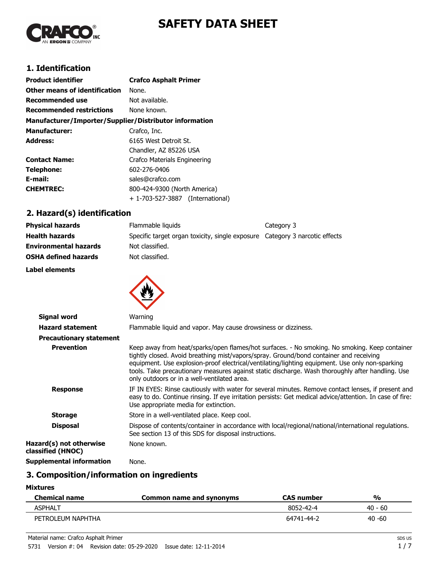

# **SAFETY DATA SHEET**

## **1. Identification**

| <b>Product identifier</b>                              | <b>Crafco Asphalt Primer</b>        |  |
|--------------------------------------------------------|-------------------------------------|--|
| Other means of identification                          | None.                               |  |
| <b>Recommended use</b>                                 | Not available.                      |  |
| <b>Recommended restrictions</b>                        | None known.                         |  |
| Manufacturer/Importer/Supplier/Distributor information |                                     |  |
| <b>Manufacturer:</b>                                   | Crafco, Inc.                        |  |
| <b>Address:</b>                                        | 6165 West Detroit St.               |  |
|                                                        | Chandler, AZ 85226 USA              |  |
| <b>Contact Name:</b>                                   | Crafco Materials Engineering        |  |
| Telephone:                                             | 602-276-0406                        |  |
| E-mail:                                                | sales@crafco.com                    |  |
| <b>CHEMTREC:</b>                                       | 800-424-9300 (North America)        |  |
|                                                        | + 1-703-527-3887<br>(International) |  |

## **2. Hazard(s) identification**

| <b>Physical hazards</b>      | Flammable liquids                                                           | Category 3 |
|------------------------------|-----------------------------------------------------------------------------|------------|
| <b>Health hazards</b>        | Specific target organ toxicity, single exposure Category 3 narcotic effects |            |
| <b>Environmental hazards</b> | Not classified.                                                             |            |
| <b>OSHA defined hazards</b>  | Not classified.                                                             |            |
| Label elements               |                                                                             |            |



| <b>Signal word</b>                           | Warning                                                                                                                                                                                                                                                                                                                                                                                                                                       |
|----------------------------------------------|-----------------------------------------------------------------------------------------------------------------------------------------------------------------------------------------------------------------------------------------------------------------------------------------------------------------------------------------------------------------------------------------------------------------------------------------------|
| <b>Hazard statement</b>                      | Flammable liquid and vapor. May cause drowsiness or dizziness.                                                                                                                                                                                                                                                                                                                                                                                |
| <b>Precautionary statement</b>               |                                                                                                                                                                                                                                                                                                                                                                                                                                               |
| <b>Prevention</b>                            | Keep away from heat/sparks/open flames/hot surfaces. - No smoking. No smoking. Keep container<br>tightly closed. Avoid breathing mist/vapors/spray. Ground/bond container and receiving<br>equipment. Use explosion-proof electrical/ventilating/lighting equipment. Use only non-sparking<br>tools. Take precautionary measures against static discharge. Wash thoroughly after handling. Use<br>only outdoors or in a well-ventilated area. |
| <b>Response</b>                              | IF IN EYES: Rinse cautiously with water for several minutes. Remove contact lenses, if present and<br>easy to do. Continue rinsing. If eye irritation persists: Get medical advice/attention. In case of fire:<br>Use appropriate media for extinction.                                                                                                                                                                                       |
| <b>Storage</b>                               | Store in a well-ventilated place. Keep cool.                                                                                                                                                                                                                                                                                                                                                                                                  |
| <b>Disposal</b>                              | Dispose of contents/container in accordance with local/regional/national/international regulations.<br>See section 13 of this SDS for disposal instructions.                                                                                                                                                                                                                                                                                  |
| Hazard(s) not otherwise<br>classified (HNOC) | None known.                                                                                                                                                                                                                                                                                                                                                                                                                                   |
| <b>Supplemental information</b>              | None.                                                                                                                                                                                                                                                                                                                                                                                                                                         |

## **3. Composition/information on ingredients**

| <b>Chemical name</b> | Common name and synonyms | <b>CAS number</b> | %         |
|----------------------|--------------------------|-------------------|-----------|
| ASPHALT              |                          | 8052-42-4         | $40 - 60$ |
| PETROLEUM NAPHTHA    |                          | 64741-44-2        | $40 - 60$ |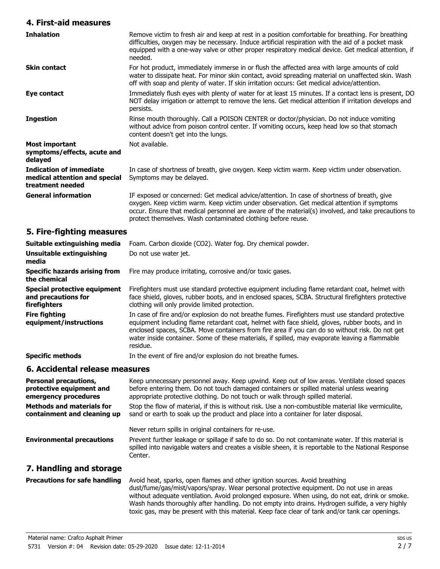#### **4. First-aid measures**

| 4. First-aid measures                                                               |                                                                                                                                                                                                                                                                                                                                                                                                                      |
|-------------------------------------------------------------------------------------|----------------------------------------------------------------------------------------------------------------------------------------------------------------------------------------------------------------------------------------------------------------------------------------------------------------------------------------------------------------------------------------------------------------------|
| <b>Inhalation</b>                                                                   | Remove victim to fresh air and keep at rest in a position comfortable for breathing. For breathing<br>difficulties, oxygen may be necessary. Induce artificial respiration with the aid of a pocket mask<br>equipped with a one-way valve or other proper respiratory medical device. Get medical attention, if<br>needed.                                                                                           |
| <b>Skin contact</b>                                                                 | For hot product, immediately immerse in or flush the affected area with large amounts of cold<br>water to dissipate heat. For minor skin contact, avoid spreading material on unaffected skin. Wash<br>off with soap and plenty of water. If skin irritation occurs: Get medical advice/attention.                                                                                                                   |
| Eye contact                                                                         | Immediately flush eyes with plenty of water for at least 15 minutes. If a contact lens is present, DO<br>NOT delay irrigation or attempt to remove the lens. Get medical attention if irritation develops and<br>persists.                                                                                                                                                                                           |
| <b>Ingestion</b>                                                                    | Rinse mouth thoroughly. Call a POISON CENTER or doctor/physician. Do not induce vomiting<br>without advice from poison control center. If vomiting occurs, keep head low so that stomach<br>content doesn't get into the lungs.                                                                                                                                                                                      |
| <b>Most important</b><br>symptoms/effects, acute and<br>delayed                     | Not available.                                                                                                                                                                                                                                                                                                                                                                                                       |
| <b>Indication of immediate</b><br>medical attention and special<br>treatment needed | In case of shortness of breath, give oxygen. Keep victim warm. Keep victim under observation.<br>Symptoms may be delayed.                                                                                                                                                                                                                                                                                            |
| <b>General information</b>                                                          | IF exposed or concerned: Get medical advice/attention. In case of shortness of breath, give<br>oxygen. Keep victim warm. Keep victim under observation. Get medical attention if symptoms<br>occur. Ensure that medical personnel are aware of the material(s) involved, and take precautions to<br>protect themselves. Wash contaminated clothing before reuse.                                                     |
| 5. Fire-fighting measures                                                           |                                                                                                                                                                                                                                                                                                                                                                                                                      |
| Suitable extinguishing media                                                        | Foam. Carbon dioxide (CO2). Water fog. Dry chemical powder.                                                                                                                                                                                                                                                                                                                                                          |
| <b>Unsuitable extinguishing</b><br>media                                            | Do not use water jet.                                                                                                                                                                                                                                                                                                                                                                                                |
| <b>Specific hazards arising from</b><br>the chemical                                | Fire may produce irritating, corrosive and/or toxic gases.                                                                                                                                                                                                                                                                                                                                                           |
| <b>Special protective equipment</b><br>and precautions for<br>firefighters          | Firefighters must use standard protective equipment including flame retardant coat, helmet with<br>face shield, gloves, rubber boots, and in enclosed spaces, SCBA. Structural firefighters protective<br>clothing will only provide limited protection.                                                                                                                                                             |
| <b>Fire fighting</b><br>equipment/instructions                                      | In case of fire and/or explosion do not breathe fumes. Firefighters must use standard protective<br>equipment including flame retardant coat, helmet with face shield, gloves, rubber boots, and in<br>enclosed spaces, SCBA. Move containers from fire area if you can do so without risk. Do not get<br>water inside container. Some of these materials, if spilled, may evaporate leaving a flammable<br>residue. |
| <b>Specific methods</b>                                                             | In the event of fire and/or explosion do not breathe fumes.                                                                                                                                                                                                                                                                                                                                                          |
| 6. Accidental release measures                                                      |                                                                                                                                                                                                                                                                                                                                                                                                                      |
| <b>Personal precautions,</b><br>protective equipment and<br>emergency procedures    | Keep unnecessary personnel away. Keep upwind. Keep out of low areas. Ventilate closed spaces<br>before entering them. Do not touch damaged containers or spilled material unless wearing<br>appropriate protective clothing. Do not touch or walk through spilled material.                                                                                                                                          |
| <b>Methods and materials for</b><br>containment and cleaning up                     | Stop the flow of material, if this is without risk. Use a non-combustible material like vermiculite,<br>sand or earth to soak up the product and place into a container for later disposal.                                                                                                                                                                                                                          |
|                                                                                     | Never return spills in original containers for re-use.                                                                                                                                                                                                                                                                                                                                                               |
| <b>Environmental precautions</b>                                                    | Prevent further leakage or spillage if safe to do so. Do not contaminate water. If this material is<br>spilled into navigable waters and creates a visible sheen, it is reportable to the National Response<br>Center.                                                                                                                                                                                               |
| 7. Handling and storage                                                             |                                                                                                                                                                                                                                                                                                                                                                                                                      |

Avoid heat, sparks, open flames and other ignition sources. Avoid breathing dust/fume/gas/mist/vapors/spray. Wear personal protective equipment. Do not use in areas without adequate ventilation. Avoid prolonged exposure. When using, do not eat, drink or smoke. Wash hands thoroughly after handling. Do not empty into drains. Hydrogen sulfide, a very highly toxic gas, may be present with this material. Keep face clear of tank and/or tank car openings. **Precautions for safe handling**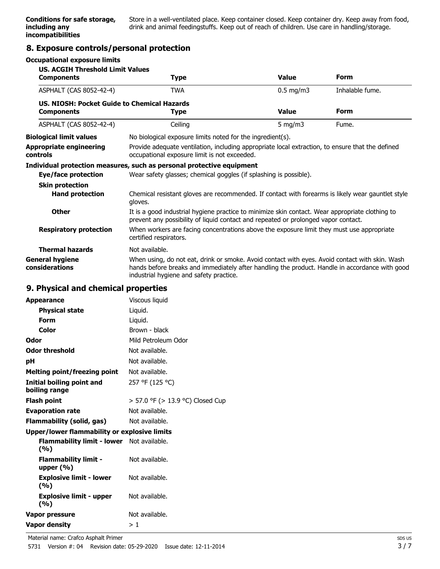Store in a well-ventilated place. Keep container closed. Keep container dry. Keep away from food, drink and animal feedingstuffs. Keep out of reach of children. Use care in handling/storage.

## **8. Exposure controls/personal protection**

#### **Occupational exposure limits**

| <b>US. ACGIH Threshold Limit Values</b><br><b>Components</b>     | <b>Type</b>                                                                                                                                                                                                                                 | <b>Value</b> | <b>Form</b>     |
|------------------------------------------------------------------|---------------------------------------------------------------------------------------------------------------------------------------------------------------------------------------------------------------------------------------------|--------------|-----------------|
| ASPHALT (CAS 8052-42-4)                                          | <b>TWA</b>                                                                                                                                                                                                                                  | $0.5$ mg/m3  | Inhalable fume. |
| US. NIOSH: Pocket Guide to Chemical Hazards<br><b>Components</b> | Type                                                                                                                                                                                                                                        | <b>Value</b> | <b>Form</b>     |
| ASPHALT (CAS 8052-42-4)                                          | Ceiling                                                                                                                                                                                                                                     | 5 mg/m $3$   | Fume.           |
| <b>Biological limit values</b>                                   | No biological exposure limits noted for the ingredient(s).                                                                                                                                                                                  |              |                 |
| <b>Appropriate engineering</b><br><b>controls</b>                | Provide adequate ventilation, including appropriate local extraction, to ensure that the defined<br>occupational exposure limit is not exceeded.                                                                                            |              |                 |
| Eye/face protection<br><b>Skin protection</b>                    | Individual protection measures, such as personal protective equipment<br>Wear safety glasses; chemical goggles (if splashing is possible).                                                                                                  |              |                 |
| <b>Hand protection</b>                                           | Chemical resistant gloves are recommended. If contact with forearms is likely wear gauntlet style<br>gloves.                                                                                                                                |              |                 |
| <b>Other</b>                                                     | It is a good industrial hygiene practice to minimize skin contact. Wear appropriate clothing to<br>prevent any possibility of liquid contact and repeated or prolonged vapor contact.                                                       |              |                 |
| <b>Respiratory protection</b>                                    | When workers are facing concentrations above the exposure limit they must use appropriate<br>certified respirators.                                                                                                                         |              |                 |
| <b>Thermal hazards</b>                                           | Not available.                                                                                                                                                                                                                              |              |                 |
| <b>General hygiene</b><br>considerations                         | When using, do not eat, drink or smoke. Avoid contact with eyes. Avoid contact with skin. Wash<br>hands before breaks and immediately after handling the product. Handle in accordance with good<br>industrial hygiene and safety practice. |              |                 |
| 9. Physical and chemical properties                              |                                                                                                                                                                                                                                             |              |                 |

#### **9. Physical and chemical properties**

| <b>Appearance</b>                                   | Viscous liquid                   |
|-----------------------------------------------------|----------------------------------|
| <b>Physical state</b>                               | Liquid.                          |
| <b>Form</b>                                         | Liquid.                          |
| Color                                               | Brown - black                    |
| Odor                                                | Mild Petroleum Odor              |
| <b>Odor threshold</b>                               | Not available.                   |
| рH                                                  | Not available.                   |
| Melting point/freezing point                        | Not available.                   |
| <b>Initial boiling point and</b><br>boiling range   | 257 °F (125 °C)                  |
| <b>Flash point</b>                                  | > 57.0 °F (> 13.9 °C) Closed Cup |
| <b>Evaporation rate</b>                             | Not available.                   |
| Flammability (solid, gas)                           | Not available.                   |
| <b>Upper/lower flammability or explosive limits</b> |                                  |
| Flammability limit - lower Not available.<br>(%)    |                                  |
| <b>Flammability limit -</b><br>upper $(% )$         | Not available.                   |
| <b>Explosive limit - lower</b><br>(%)               | Not available.                   |
| <b>Explosive limit - upper</b><br>(%)               | Not available.                   |
| Vapor pressure                                      | Not available.                   |
| <b>Vapor density</b>                                | >1                               |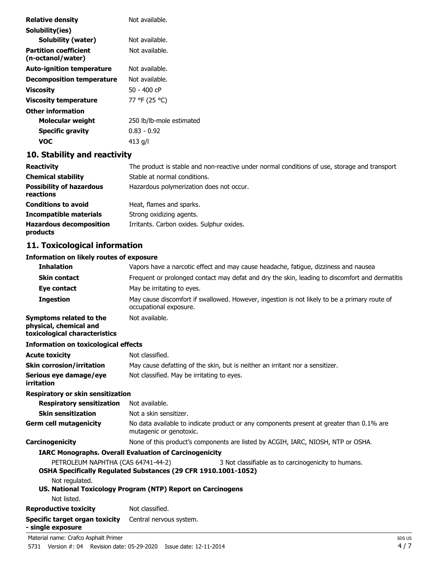| <b>Relative density</b>                           | Not available.                                                                              |
|---------------------------------------------------|---------------------------------------------------------------------------------------------|
| Solubility(ies)                                   |                                                                                             |
| <b>Solubility (water)</b>                         | Not available.                                                                              |
| <b>Partition coefficient</b><br>(n-octanol/water) | Not available.                                                                              |
| <b>Auto-ignition temperature</b>                  | Not available.                                                                              |
| <b>Decomposition temperature</b>                  | Not available.                                                                              |
| <b>Viscosity</b>                                  | $50 - 400$ cP                                                                               |
| <b>Viscosity temperature</b>                      | 77 °F (25 °C)                                                                               |
| <b>Other information</b>                          |                                                                                             |
| Molecular weight                                  | 250 lb/lb-mole estimated                                                                    |
| <b>Specific gravity</b>                           | $0.83 - 0.92$                                                                               |
| <b>VOC</b>                                        | 413 $q/l$                                                                                   |
| 10. Stability and reactivity                      |                                                                                             |
| <b>Peactivity</b>                                 | The product is stable and non-reactive under normal conditions of use storage and transport |

| <b>Reactivity</b>                            | The product is stable and non-reactive under normal conditions of use, storage and transport |  |
|----------------------------------------------|----------------------------------------------------------------------------------------------|--|
| <b>Chemical stability</b>                    | Stable at normal conditions.                                                                 |  |
| <b>Possibility of hazardous</b><br>reactions | Hazardous polymerization does not occur.                                                     |  |
| <b>Conditions to avoid</b>                   | Heat, flames and sparks.                                                                     |  |
| <b>Incompatible materials</b>                | Strong oxidizing agents.                                                                     |  |
| <b>Hazardous decomposition</b><br>products   | Irritants. Carbon oxides. Sulphur oxides.                                                    |  |

# **11. Toxicological information**

#### **Information on likely routes of exposure**

| <b>Inhalation</b>                                                                         | Vapors have a narcotic effect and may cause headache, fatigue, dizziness and nausea                                          |                 |  |
|-------------------------------------------------------------------------------------------|------------------------------------------------------------------------------------------------------------------------------|-----------------|--|
| <b>Skin contact</b>                                                                       | Frequent or prolonged contact may defat and dry the skin, leading to discomfort and dermatitis                               |                 |  |
| Eye contact                                                                               | May be irritating to eyes.                                                                                                   |                 |  |
| <b>Ingestion</b>                                                                          | May cause discomfort if swallowed. However, ingestion is not likely to be a primary route of<br>occupational exposure.       |                 |  |
| <b>Symptoms related to the</b><br>physical, chemical and<br>toxicological characteristics | Not available.                                                                                                               |                 |  |
| <b>Information on toxicological effects</b>                                               |                                                                                                                              |                 |  |
| <b>Acute toxicity</b>                                                                     | Not classified.                                                                                                              |                 |  |
| <b>Skin corrosion/irritation</b>                                                          | May cause defatting of the skin, but is neither an irritant nor a sensitizer.                                                |                 |  |
| Serious eye damage/eye<br>irritation                                                      | Not classified. May be irritating to eyes.                                                                                   |                 |  |
| <b>Respiratory or skin sensitization</b>                                                  |                                                                                                                              |                 |  |
| <b>Respiratory sensitization</b>                                                          | Not available.                                                                                                               |                 |  |
| <b>Skin sensitization</b>                                                                 | Not a skin sensitizer.                                                                                                       |                 |  |
| <b>Germ cell mutagenicity</b>                                                             | No data available to indicate product or any components present at greater than 0.1% are<br>mutagenic or genotoxic.          |                 |  |
| Carcinogenicity                                                                           | None of this product's components are listed by ACGIH, IARC, NIOSH, NTP or OSHA.                                             |                 |  |
|                                                                                           | <b>IARC Monographs. Overall Evaluation of Carcinogenicity</b>                                                                |                 |  |
| PETROLEUM NAPHTHA (CAS 64741-44-2)                                                        | 3 Not classifiable as to carcinogenicity to humans.<br><b>OSHA Specifically Regulated Substances (29 CFR 1910.1001-1052)</b> |                 |  |
| Not regulated.                                                                            | US. National Toxicology Program (NTP) Report on Carcinogens                                                                  |                 |  |
| Not listed.                                                                               |                                                                                                                              |                 |  |
| <b>Reproductive toxicity</b>                                                              | Not classified.                                                                                                              |                 |  |
| <b>Specific target organ toxicity</b><br>- single exposure                                | Central nervous system.                                                                                                      |                 |  |
| Material name: Crafco Asphalt Primer                                                      |                                                                                                                              | SD <sub>S</sub> |  |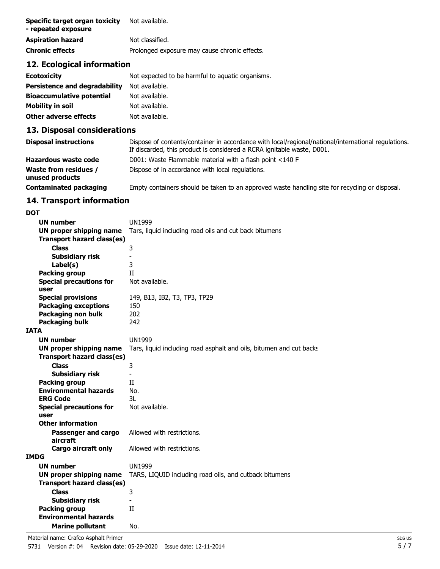| Specific target organ toxicity<br>- repeated exposure | Not available.                                |
|-------------------------------------------------------|-----------------------------------------------|
| <b>Aspiration hazard</b>                              | Not classified.                               |
| <b>Chronic effects</b>                                | Prolonged exposure may cause chronic effects. |

## **12. Ecological information**

| <b>Ecotoxicity</b>               | Not expected to be harmful to aquatic organisms. |
|----------------------------------|--------------------------------------------------|
| Persistence and degradability    | Not available.                                   |
| <b>Bioaccumulative potential</b> | Not available.                                   |
| Mobility in soil                 | Not available.                                   |
| Other adverse effects            | Not available.                                   |

## **13. Disposal considerations**

| <b>Disposal instructions</b>                    | Dispose of contents/container in accordance with local/regional/national/international regulations.<br>If discarded, this product is considered a RCRA ignitable waste, D001. |
|-------------------------------------------------|-------------------------------------------------------------------------------------------------------------------------------------------------------------------------------|
| Hazardous waste code                            | D001: Waste Flammable material with a flash point <140 F                                                                                                                      |
| <b>Waste from residues /</b><br>unused products | Dispose of in accordance with local regulations.                                                                                                                              |
| <b>Contaminated packaging</b>                   | Empty containers should be taken to an approved waste handling site for recycling or disposal.                                                                                |

## **14. Transport information**

| <b>DOT</b>  |                                               |                                                                     |
|-------------|-----------------------------------------------|---------------------------------------------------------------------|
|             | UN number                                     | <b>UN1999</b>                                                       |
|             | <b>UN proper shipping name</b>                | Tars, liquid including road oils and cut back bitumens              |
|             | Transport hazard class(es)                    |                                                                     |
|             | <b>Class</b>                                  | 3                                                                   |
|             | Subsidiary risk                               |                                                                     |
|             | Label(s)                                      | 3                                                                   |
|             | <b>Packing group</b>                          | Π                                                                   |
|             | <b>Special precautions for</b>                | Not available.                                                      |
|             | user                                          |                                                                     |
|             | <b>Special provisions</b>                     | 149, B13, IB2, T3, TP3, TP29                                        |
|             | <b>Packaging exceptions</b>                   | 150                                                                 |
|             | Packaging non bulk                            | 202                                                                 |
|             | <b>Packaging bulk</b>                         | 242                                                                 |
| <b>IATA</b> |                                               |                                                                     |
|             | UN number                                     | UN1999                                                              |
|             | <b>UN proper shipping name</b>                | Tars, liquid including road asphalt and oils, bitumen and cut backs |
|             | Transport hazard class(es)                    |                                                                     |
|             | <b>Class</b>                                  | 3                                                                   |
|             | <b>Subsidiary risk</b>                        | -                                                                   |
|             | Packing group                                 | Π                                                                   |
|             | <b>Environmental hazards</b>                  | No.                                                                 |
|             | <b>ERG Code</b>                               | 3L                                                                  |
|             | <b>Special precautions for</b>                | Not available.                                                      |
|             | user                                          |                                                                     |
|             | <b>Other information</b>                      |                                                                     |
|             | Passenger and cargo<br>aircraft               | Allowed with restrictions.                                          |
|             | <b>Cargo aircraft only</b>                    | Allowed with restrictions.                                          |
| <b>IMDG</b> |                                               |                                                                     |
|             | UN number                                     | <b>UN1999</b>                                                       |
|             | <b>UN proper shipping name</b>                | TARS, LIQUID including road oils, and cutback bitumens              |
|             | Transport hazard class(es)                    |                                                                     |
|             | <b>Class</b>                                  |                                                                     |
|             |                                               | 3                                                                   |
|             | Subsidiary risk                               |                                                                     |
|             | Packing group<br><b>Environmental hazards</b> | П                                                                   |
|             |                                               |                                                                     |
|             | <b>Marine pollutant</b>                       | No.                                                                 |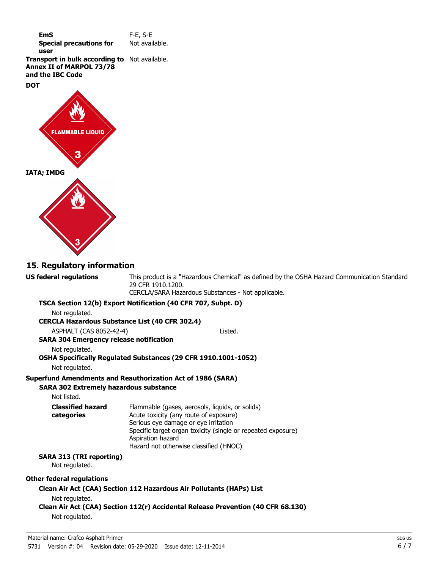| EmS                            | $F-E$ , S-E    |
|--------------------------------|----------------|
| <b>Special precautions for</b> | Not available. |
| user                           |                |

**Transport in bulk according to** Not available. **Annex II of MARPOL 73/78 and the IBC Code**

#### **DOT**



## **15. Regulatory information**

**US federal regulations**

This product is a "Hazardous Chemical" as defined by the OSHA Hazard Communication Standard, 29 CFR 1910.1200.

CERCLA/SARA Hazardous Substances - Not applicable.

| Not regulated.                                        | TSCA Section 12(b) Export Notification (40 CFR 707, Subpt. D)                                                                                                                                                                                                    |
|-------------------------------------------------------|------------------------------------------------------------------------------------------------------------------------------------------------------------------------------------------------------------------------------------------------------------------|
| <b>CERCLA Hazardous Substance List (40 CFR 302.4)</b> |                                                                                                                                                                                                                                                                  |
| ASPHALT (CAS 8052-42-4)                               | Listed.                                                                                                                                                                                                                                                          |
| <b>SARA 304 Emergency release notification</b>        |                                                                                                                                                                                                                                                                  |
| Not regulated.                                        |                                                                                                                                                                                                                                                                  |
| Not regulated.                                        | OSHA Specifically Regulated Substances (29 CFR 1910.1001-1052)                                                                                                                                                                                                   |
|                                                       |                                                                                                                                                                                                                                                                  |
| <b>SARA 302 Extremely hazardous substance</b>         | Superfund Amendments and Reauthorization Act of 1986 (SARA)                                                                                                                                                                                                      |
| Not listed.                                           |                                                                                                                                                                                                                                                                  |
| <b>Classified hazard</b><br>categories                | Flammable (gases, aerosols, liquids, or solids)<br>Acute toxicity (any route of exposure)<br>Serious eye damage or eye irritation<br>Specific target organ toxicity (single or repeated exposure)<br>Aspiration hazard<br>Hazard not otherwise classified (HNOC) |
| SARA 313 (TRI reporting)<br>Not regulated.            |                                                                                                                                                                                                                                                                  |
| Other federal regulations                             |                                                                                                                                                                                                                                                                  |
| Not regulated.                                        | Clean Air Act (CAA) Section 112 Hazardous Air Pollutants (HAPs) List                                                                                                                                                                                             |
|                                                       | Clean Air Act (CAA) Section 112(r) Accidental Release Prevention (40 CFR 68.130)                                                                                                                                                                                 |
| Not regulated.                                        |                                                                                                                                                                                                                                                                  |